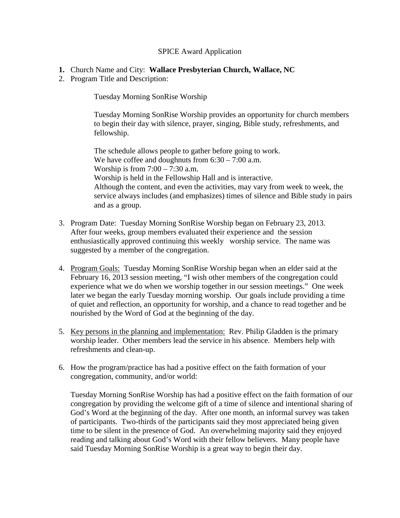## SPICE Award Application

- **1.** Church Name and City: **Wallace Presbyterian Church, Wallace, NC**
- 2. Program Title and Description:

Tuesday Morning SonRise Worship

Tuesday Morning SonRise Worship provides an opportunity for church members to begin their day with silence, prayer, singing, Bible study, refreshments, and fellowship.

The schedule allows people to gather before going to work. We have coffee and doughnuts from  $6:30 - 7:00$  a.m. Worship is from  $7:00 - 7:30$  a.m. Worship is held in the Fellowship Hall and is interactive. Although the content, and even the activities, may vary from week to week, the service always includes (and emphasizes) times of silence and Bible study in pairs and as a group.

- 3. Program Date: Tuesday Morning SonRise Worship began on February 23, 2013. After four weeks, group members evaluated their experience and the session enthusiastically approved continuing this weekly worship service. The name was suggested by a member of the congregation.
- 4. Program Goals: Tuesday Morning SonRise Worship began when an elder said at the February 16, 2013 session meeting, "I wish other members of the congregation could experience what we do when we worship together in our session meetings." One week later we began the early Tuesday morning worship. Our goals include providing a time of quiet and reflection, an opportunity for worship, and a chance to read together and be nourished by the Word of God at the beginning of the day.
- 5. Key persons in the planning and implementation: Rev. Philip Gladden is the primary worship leader. Other members lead the service in his absence. Members help with refreshments and clean-up.
- 6. How the program/practice has had a positive effect on the faith formation of your congregation, community, and/or world:

Tuesday Morning SonRise Worship has had a positive effect on the faith formation of our congregation by providing the welcome gift of a time of silence and intentional sharing of God's Word at the beginning of the day. After one month, an informal survey was taken of participants. Two-thirds of the participants said they most appreciated being given time to be silent in the presence of God. An overwhelming majority said they enjoyed reading and talking about God's Word with their fellow believers. Many people have said Tuesday Morning SonRise Worship is a great way to begin their day.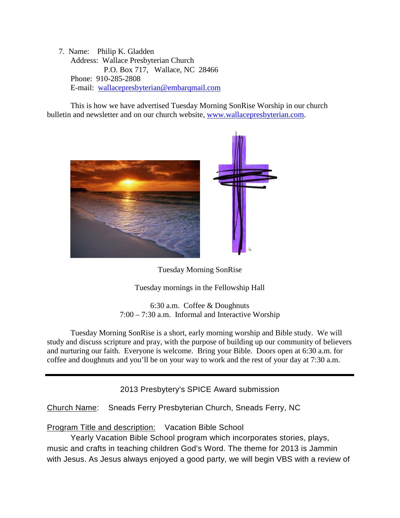7. Name: Philip K. Gladden Address: Wallace Presbyterian Church P.O. Box 717, Wallace, NC 28466 Phone: 910-285-2808 E-mail: [wallacepresbyterian@embarqmail.com](mailto:wallacepresbyterian@embarqmail.com)

This is how we have advertised Tuesday Morning SonRise Worship in our church bulletin and newsletter and on our church website, [www.wallacepresbyterian.com.](http://www.wallacepresbyterian.com/)



Tuesday Morning SonRise

Tuesday mornings in the Fellowship Hall

6:30 a.m. Coffee & Doughnuts 7:00 – 7:30 a.m. Informal and Interactive Worship

Tuesday Morning SonRise is a short, early morning worship and Bible study. We will study and discuss scripture and pray, with the purpose of building up our community of believers and nurturing our faith. Everyone is welcome. Bring your Bible. Doors open at 6:30 a.m. for coffee and doughnuts and you'll be on your way to work and the rest of your day at 7:30 a.m.

2013 Presbytery's SPICE Award submission

Church Name: Sneads Ferry Presbyterian Church, Sneads Ferry, NC

Program Title and description: Vacation Bible School

Yearly Vacation Bible School program which incorporates stories, plays, music and crafts in teaching children God's Word. The theme for 2013 is Jammin with Jesus. As Jesus always enjoyed a good party, we will begin VBS with a review of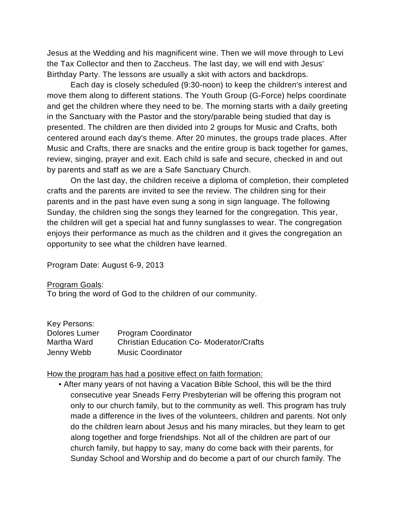Jesus at the Wedding and his magnificent wine. Then we will move through to Levi the Tax Collector and then to Zaccheus. The last day, we will end with Jesus' Birthday Party. The lessons are usually a skit with actors and backdrops.

Each day is closely scheduled (9:30-noon) to keep the children's interest and move them along to different stations. The Youth Group (G-Force) helps coordinate and get the children where they need to be. The morning starts with a daily greeting in the Sanctuary with the Pastor and the story/parable being studied that day is presented. The children are then divided into 2 groups for Music and Crafts, both centered around each day's theme. After 20 minutes, the groups trade places. After Music and Crafts, there are snacks and the entire group is back together for games, review, singing, prayer and exit. Each child is safe and secure, checked in and out by parents and staff as we are a Safe Sanctuary Church.

On the last day, the children receive a diploma of completion, their completed crafts and the parents are invited to see the review. The children sing for their parents and in the past have even sung a song in sign language. The following Sunday, the children sing the songs they learned for the congregation. This year, the children will get a special hat and funny sunglasses to wear. The congregation enjoys their performance as much as the children and it gives the congregation an opportunity to see what the children have learned.

Program Date: August 6-9, 2013

Program Goals:

To bring the word of God to the children of our community.

| Key Persons:  |                                                 |
|---------------|-------------------------------------------------|
| Dolores Lumer | <b>Program Coordinator</b>                      |
| Martha Ward   | <b>Christian Education Co- Moderator/Crafts</b> |
| Jenny Webb    | <b>Music Coordinator</b>                        |

### How the program has had a positive effect on faith formation:

• After many years of not having a Vacation Bible School, this will be the third consecutive year Sneads Ferry Presbyterian will be offering this program not only to our church family, but to the community as well. This program has truly made a difference in the lives of the volunteers, children and parents. Not only do the children learn about Jesus and his many miracles, but they learn to get along together and forge friendships. Not all of the children are part of our church family, but happy to say, many do come back with their parents, for Sunday School and Worship and do become a part of our church family. The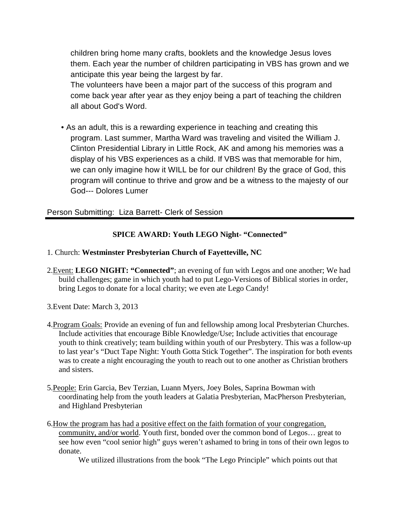children bring home many crafts, booklets and the knowledge Jesus loves them. Each year the number of children participating in VBS has grown and we anticipate this year being the largest by far.

The volunteers have been a major part of the success of this program and come back year after year as they enjoy being a part of teaching the children all about God's Word.

• As an adult, this is a rewarding experience in teaching and creating this program. Last summer, Martha Ward was traveling and visited the William J. Clinton Presidential Library in Little Rock, AK and among his memories was a display of his VBS experiences as a child. If VBS was that memorable for him, we can only imagine how it WILL be for our children! By the grace of God, this program will continue to thrive and grow and be a witness to the majesty of our God--- Dolores Lumer

# Person Submitting: Liza Barrett- Clerk of Session

# **SPICE AWARD: Youth LEGO Night- "Connected"**

### 1. Church: **Westminster Presbyterian Church of Fayetteville, NC**

- 2.Event: **LEGO NIGHT: "Connected"**; an evening of fun with Legos and one another; We had build challenges; game in which youth had to put Lego-Versions of Biblical stories in order, bring Legos to donate for a local charity; we even ate Lego Candy!
- 3.Event Date: March 3, 2013
- 4.Program Goals: Provide an evening of fun and fellowship among local Presbyterian Churches. Include activities that encourage Bible Knowledge/Use; Include activities that encourage youth to think creatively; team building within youth of our Presbytery. This was a follow-up to last year's "Duct Tape Night: Youth Gotta Stick Together". The inspiration for both events was to create a night encouraging the youth to reach out to one another as Christian brothers and sisters.
- 5.People: Erin Garcia, Bev Terzian, Luann Myers, Joey Boles, Saprina Bowman with coordinating help from the youth leaders at Galatia Presbyterian, MacPherson Presbyterian, and Highland Presbyterian
- 6.How the program has had a positive effect on the faith formation of your congregation, community, and/or world. Youth first, bonded over the common bond of Legos… great to see how even "cool senior high" guys weren't ashamed to bring in tons of their own legos to donate.

We utilized illustrations from the book "The Lego Principle" which points out that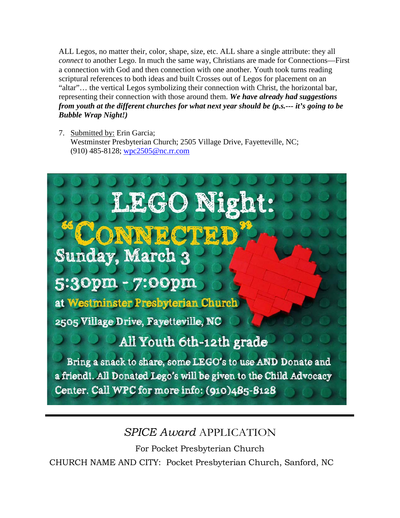ALL Legos, no matter their, color, shape, size, etc. ALL share a single attribute: they all *connect* to another Lego. In much the same way, Christians are made for Connections—First a connection with God and then connection with one another. Youth took turns reading scriptural references to both ideas and built Crosses out of Legos for placement on an "altar"… the vertical Legos symbolizing their connection with Christ, the horizontal bar, representing their connection with those around them. *We have already had suggestions from youth at the different churches for what next year should be (p.s.--- it's going to be Bubble Wrap Night!)*

7. Submitted by: Erin Garcia; Westminster Presbyterian Church; 2505 Village Drive, Fayetteville, NC; (910) 485-8128; [wpc2505@nc.rr.com](mailto:wpc2505@nc.rr.com)



# *SPICE Award* APPLICATION

For Pocket Presbyterian Church

CHURCH NAME AND CITY: Pocket Presbyterian Church, Sanford, NC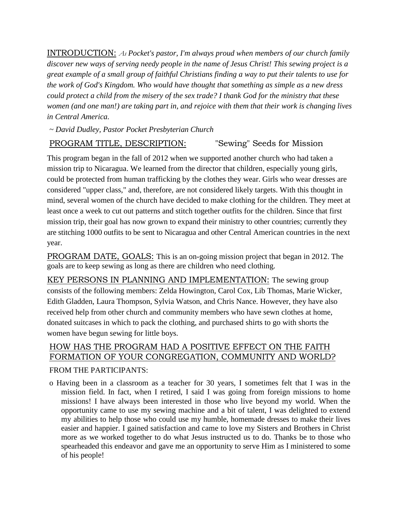INTRODUCTION: *As Pocket's pastor, I'm always proud when members of our church family discover new ways of serving needy people in the name of Jesus Christ! This sewing project is a great example of a small group of faithful Christians finding a way to put their talents to use for the work of God's Kingdom. Who would have thought that something as simple as a new dress could protect a child from the misery of the sex trade? I thank God for the ministry that these women (and one man!) are taking part in, and rejoice with them that their work is changing lives in Central America.*

*~ David Dudley, Pastor Pocket Presbyterian Church*

# PROGRAM TITLE, DESCRIPTION: "Sewing" Seeds for Mission

This program began in the fall of 2012 when we supported another church who had taken a mission trip to Nicaragua. We learned from the director that children, especially young girls, could be protected from human trafficking by the clothes they wear. Girls who wear dresses are considered "upper class," and, therefore, are not considered likely targets. With this thought in mind, several women of the church have decided to make clothing for the children. They meet at least once a week to cut out patterns and stitch together outfits for the children. Since that first mission trip, their goal has now grown to expand their ministry to other countries; currently they are stitching 1000 outfits to be sent to Nicaragua and other Central American countries in the next year.

PROGRAM DATE, GOALS: This is an on-going mission project that began in 2012. The goals are to keep sewing as long as there are children who need clothing.

KEY PERSONS IN PLANNING AND IMPLEMENTATION: The sewing group consists of the following members: Zelda Howington, Carol Cox, Lib Thomas, Marie Wicker, Edith Gladden, Laura Thompson, Sylvia Watson, and Chris Nance. However, they have also received help from other church and community members who have sewn clothes at home, donated suitcases in which to pack the clothing, and purchased shirts to go with shorts the women have begun sewing for little boys.

# HOW HAS THE PROGRAM HAD A POSITIVE EFFECT ON THE FAITH FORMATION OF YOUR CONGREGATION, COMMUNITY AND WORLD?

# FROM THE PARTICIPANTS:

o Having been in a classroom as a teacher for 30 years, I sometimes felt that I was in the mission field. In fact, when I retired, I said I was going from foreign missions to home missions! I have always been interested in those who live beyond my world. When the opportunity came to use my sewing machine and a bit of talent, I was delighted to extend my abilities to help those who could use my humble, homemade dresses to make their lives easier and happier. I gained satisfaction and came to love my Sisters and Brothers in Christ more as we worked together to do what Jesus instructed us to do. Thanks be to those who spearheaded this endeavor and gave me an opportunity to serve Him as I ministered to some of his people!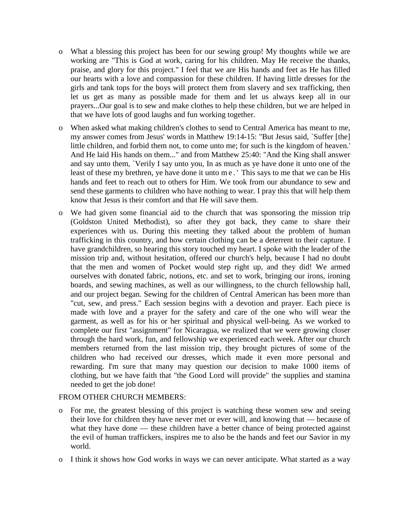- o What a blessing this project has been for our sewing group! My thoughts while we are working are "This is God at work, caring for his children. May He receive the thanks, praise, and glory for this project." I feel that we are His hands and feet as He has filled our hearts with a love and compassion for these children. If having little dresses for the girls and tank tops for the boys will protect them from slavery and sex trafficking, then let us get as many as possible made for them and let us always keep all in our prayers...Our goal is to sew and make clothes to help these children, but we are helped in that we have lots of good laughs and fun working together.
- o When asked what making children's clothes to send to Central America has meant to me, my answer comes from Jesus' words in Matthew 19:14-15: "But Jesus said, `Suffer [the] little children, and forbid them not, to come unto me; for such is the kingdom of heaven.' And He laid His hands on them..." and from Matthew 25:40: "And the King shall answer and say unto them, `Verily I say unto you, In as much as ye have done it unto one of the least of these my brethren, ye have done it unto me.' This says to me that we can be His hands and feet to reach out to others for Him. We took from our abundance to sew and send these garments to children who have nothing to wear. I pray this that will help them know that Jesus is their comfort and that He will save them.
- o We had given some financial aid to the church that was sponsoring the mission trip (Goldston United Methodist), so after they got back, they came to share their experiences with us. During this meeting they talked about the problem of human trafficking in this country, and how certain clothing can be a deterrent to their capture. I have grandchildren, so hearing this story touched my heart. I spoke with the leader of the mission trip and, without hesitation, offered our church's help, because I had no doubt that the men and women of Pocket would step right up, and they did! We armed ourselves with donated fabric, notions, etc. and set to work, bringing our irons, ironing boards, and sewing machines, as well as our willingness, to the church fellowship hall, and our project began. Sewing for the children of Central American has been more than "cut, sew, and press." Each session begins with a devotion and prayer. Each piece is made with love and a prayer for the safety and care of the one who will wear the garment, as well as for his or her spiritual and physical well-being. As we worked to complete our first "assignment" for Nicaragua, we realized that we were growing closer through the hard work, fun, and fellowship we experienced each week. After our church members returned from the last mission trip, they brought pictures of some of the children who had received our dresses, which made it even more personal and rewarding. I'm sure that many may question our decision to make 1000 items of clothing, but we have faith that "the Good Lord will provide" the supplies and stamina needed to get the job done!

### FROM OTHER CHURCH MEMBERS:

- o For me, the greatest blessing of this project is watching these women sew and seeing their love for children they have never met or ever will, and knowing that — because of what they have done — these children have a better chance of being protected against the evil of human traffickers, inspires me to also be the hands and feet our Savior in my world.
- o I think it shows how God works in ways we can never anticipate. What started as a way